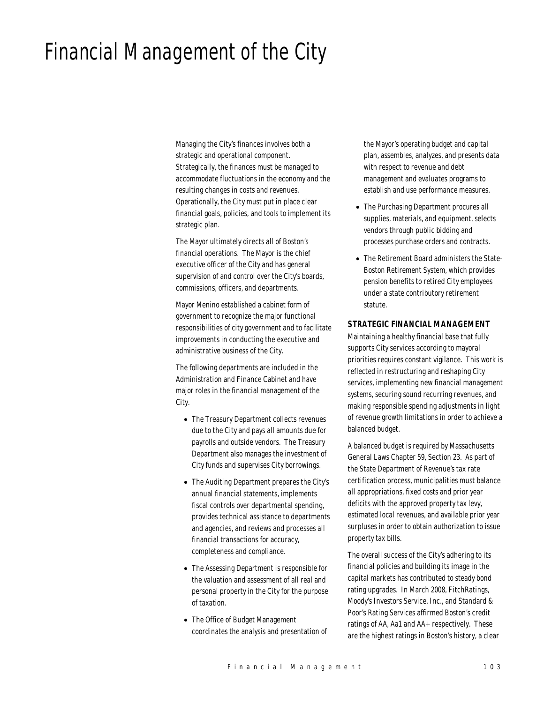# Financial Management of the City

Managing the City's finances involves both a strategic and operational component. Strategically, the finances must be managed to accommodate fluctuations in the economy and the resulting changes in costs and revenues. Operationally, the City must put in place clear financial goals, policies, and tools to implement its strategic plan.

The Mayor ultimately directs all of Boston's financial operations. The Mayor is the chief executive officer of the City and has general supervision of and control over the City's boards, commissions, officers, and departments.

Mayor Menino established a cabinet form of government to recognize the major functional responsibilities of city government and to facilitate improvements in conducting the executive and administrative business of the City.

The following departments are included in the Administration and Finance Cabinet and have major roles in the financial management of the City.

- The Treasury Department collects revenues due to the City and pays all amounts due for payrolls and outside vendors. The Treasury Department also manages the investment of City funds and supervises City borrowings.
- The Auditing Department prepares the City's annual financial statements, implements fiscal controls over departmental spending, provides technical assistance to departments and agencies, and reviews and processes all financial transactions for accuracy, completeness and compliance.
- The Assessing Department is responsible for the valuation and assessment of all real and personal property in the City for the purpose of taxation.
- The Office of Budget Management coordinates the analysis and presentation of

the Mayor's operating budget and capital plan, assembles, analyzes, and presents data with respect to revenue and debt management and evaluates programs to establish and use performance measures.

- The Purchasing Department procures all supplies, materials, and equipment, selects vendors through public bidding and processes purchase orders and contracts.
- The Retirement Board administers the State-Boston Retirement System, which provides pension benefits to retired City employees under a state contributory retirement statute.

#### *STRATEGIC FINANCIAL MANAGEMENT*

Maintaining a healthy financial base that fully supports City services according to mayoral priorities requires constant vigilance. This work is reflected in restructuring and reshaping City services, implementing new financial management systems, securing sound recurring revenues, and making responsible spending adjustments in light of revenue growth limitations in order to achieve a balanced budget.

A balanced budget is required by Massachusetts General Laws Chapter 59, Section 23. As part of the State Department of Revenue's tax rate certification process, municipalities must balance all appropriations, fixed costs and prior year deficits with the approved property tax levy, estimated local revenues, and available prior year surpluses in order to obtain authorization to issue property tax bills.

The overall success of the City's adhering to its financial policies and building its image in the capital markets has contributed to steady bond rating upgrades. In March 2008, FitchRatings, Moody's Investors Service, Inc., and Standard & Poor's Rating Services affirmed Boston's credit ratings of AA, Aa1 and AA+ respectively. These are the highest ratings in Boston's history, a clear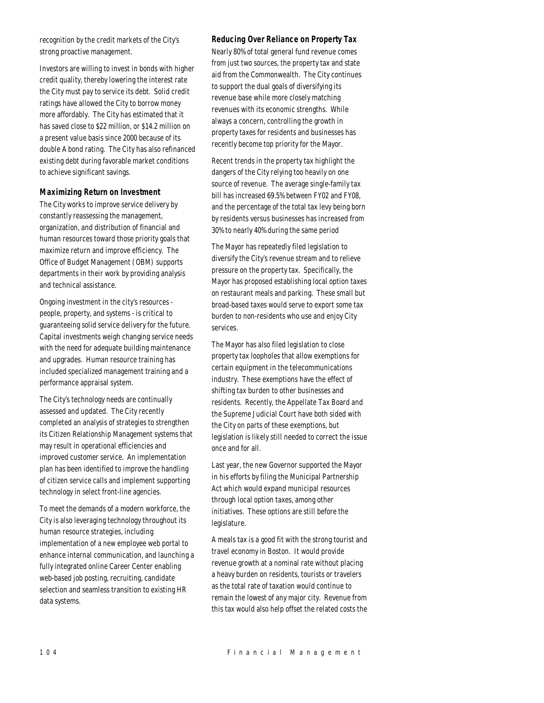recognition by the credit markets of the City's strong proactive management.

Investors are willing to invest in bonds with higher credit quality, thereby lowering the interest rate the City must pay to service its debt. Solid credit ratings have allowed the City to borrow money more affordably. The City has estimated that it has saved close to \$22 million, or \$14.2 million on a present value basis since 2000 because of its double A bond rating. The City has also refinanced existing debt during favorable market conditions to achieve significant savings.

#### *Maximizing Return on Investment*

The City works to improve service delivery by constantly reassessing the management, organization, and distribution of financial and human resources toward those priority goals that maximize return and improve efficiency. The Office of Budget Management (OBM) supports departments in their work by providing analysis and technical assistance.

Ongoing investment in the city's resources people, property, and systems - is critical to guaranteeing solid service delivery for the future. Capital investments weigh changing service needs with the need for adequate building maintenance and upgrades. Human resource training has included specialized management training and a performance appraisal system.

The City's technology needs are continually assessed and updated. The City recently completed an analysis of strategies to strengthen its Citizen Relationship Management systems that may result in operational efficiencies and improved customer service. An implementation plan has been identified to improve the handling of citizen service calls and implement supporting technology in select front-line agencies.

To meet the demands of a modern workforce, the City is also leveraging technology throughout its human resource strategies, including implementation of a new employee web portal to enhance internal communication, and launching a fully integrated online Career Center enabling web-based job posting, recruiting, candidate selection and seamless transition to existing HR data systems.

## *Reducing Over Reliance on Property Tax*

Nearly 80% of total general fund revenue comes from just two sources, the property tax and state aid from the Commonwealth. The City continues to support the dual goals of diversifying its revenue base while more closely matching revenues with its economic strengths. While always a concern, controlling the growth in property taxes for residents and businesses has recently become top priority for the Mayor.

Recent trends in the property tax highlight the dangers of the City relying too heavily on one source of revenue. The average single-family tax bill has increased 69.5% between FY02 and FY08, and the percentage of the total tax levy being born by residents versus businesses has increased from 30% to nearly 40% during the same period

The Mayor has repeatedly filed legislation to diversify the City's revenue stream and to relieve pressure on the property tax. Specifically, the Mayor has proposed establishing local option taxes on restaurant meals and parking. These small but broad-based taxes would serve to export some tax burden to non-residents who use and enjoy City services.

The Mayor has also filed legislation to close property tax loopholes that allow exemptions for certain equipment in the telecommunications industry. These exemptions have the effect of shifting tax burden to other businesses and residents. Recently, the Appellate Tax Board and the Supreme Judicial Court have both sided with the City on parts of these exemptions, but legislation is likely still needed to correct the issue once and for all.

Last year, the new Governor supported the Mayor in his efforts by filing the Municipal Partnership Act which would expand municipal resources through local option taxes, among other initiatives. These options are still before the legislature.

A meals tax is a good fit with the strong tourist and travel economy in Boston. It would provide revenue growth at a nominal rate without placing a heavy burden on residents, tourists or travelers as the total rate of taxation would continue to remain the lowest of any major city. Revenue from this tax would also help offset the related costs the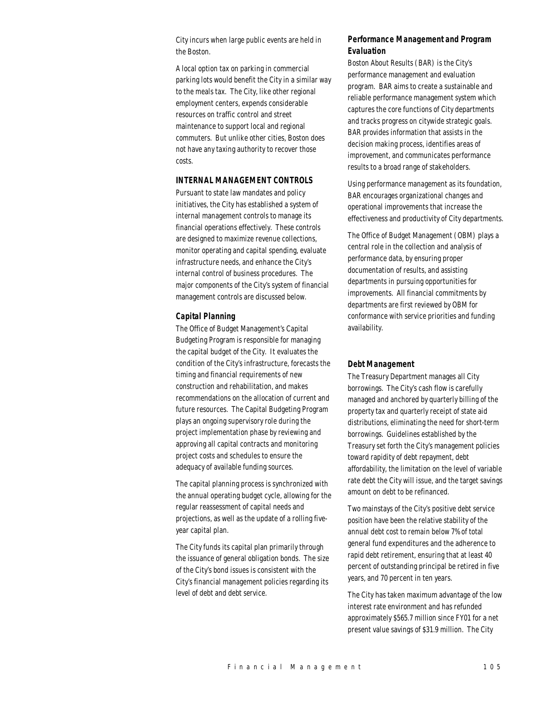City incurs when large public events are held in the Boston.

A local option tax on parking in commercial parking lots would benefit the City in a similar way to the meals tax. The City, like other regional employment centers, expends considerable resources on traffic control and street maintenance to support local and regional commuters. But unlike other cities, Boston does not have any taxing authority to recover those costs.

#### *INTERNAL MANAGEMENT CONTROLS*

Pursuant to state law mandates and policy initiatives, the City has established a system of internal management controls to manage its financial operations effectively. These controls are designed to maximize revenue collections, monitor operating and capital spending, evaluate infrastructure needs, and enhance the City's internal control of business procedures. The major components of the City's system of financial management controls are discussed below.

### *Capital Planning*

The Office of Budget Management's Capital Budgeting Program is responsible for managing the capital budget of the City. It evaluates the condition of the City's infrastructure, forecasts the timing and financial requirements of new construction and rehabilitation, and makes recommendations on the allocation of current and future resources. The Capital Budgeting Program plays an ongoing supervisory role during the project implementation phase by reviewing and approving all capital contracts and monitoring project costs and schedules to ensure the adequacy of available funding sources.

The capital planning process is synchronized with the annual operating budget cycle, allowing for the regular reassessment of capital needs and projections, as well as the update of a rolling fiveyear capital plan.

The City funds its capital plan primarily through the issuance of general obligation bonds. The size of the City's bond issues is consistent with the City's financial management policies regarding its level of debt and debt service.

## *Performance Management and Program Evaluation*

Boston About Results (BAR) is the City's performance management and evaluation program. BAR aims to create a sustainable and reliable performance management system which captures the core functions of City departments and tracks progress on citywide strategic goals. BAR provides information that assists in the decision making process, identifies areas of improvement, and communicates performance results to a broad range of stakeholders.

Using performance management as its foundation, BAR encourages organizational changes and operational improvements that increase the effectiveness and productivity of City departments.

The Office of Budget Management (OBM) plays a central role in the collection and analysis of performance data, by ensuring proper documentation of results, and assisting departments in pursuing opportunities for improvements. All financial commitments by departments are first reviewed by OBM for conformance with service priorities and funding availability.

#### *Debt Management*

The Treasury Department manages all City borrowings. The City's cash flow is carefully managed and anchored by quarterly billing of the property tax and quarterly receipt of state aid distributions, eliminating the need for short-term borrowings. Guidelines established by the Treasury set forth the City's management policies toward rapidity of debt repayment, debt affordability, the limitation on the level of variable rate debt the City will issue, and the target savings amount on debt to be refinanced.

Two mainstays of the City's positive debt service position have been the relative stability of the annual debt cost to remain below 7% of total general fund expenditures and the adherence to rapid debt retirement, ensuring that at least 40 percent of outstanding principal be retired in five years, and 70 percent in ten years.

The City has taken maximum advantage of the low interest rate environment and has refunded approximately \$565.7 million since FY01 for a net present value savings of \$31.9 million. The City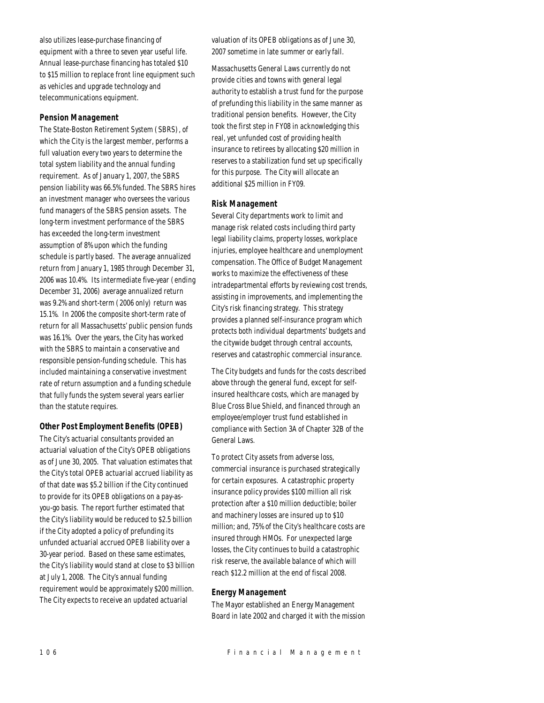also utilizes lease-purchase financing of equipment with a three to seven year useful life. Annual lease-purchase financing has totaled \$10 to \$15 million to replace front line equipment such as vehicles and upgrade technology and telecommunications equipment.

## *Pension Management*

The State-Boston Retirement System (SBRS), of which the City is the largest member, performs a full valuation every two years to determine the total system liability and the annual funding requirement. As of January 1, 2007, the SBRS pension liability was 66.5% funded. The SBRS hires an investment manager who oversees the various fund managers of the SBRS pension assets. The long-term investment performance of the SBRS has exceeded the long-term investment assumption of 8% upon which the funding schedule is partly based. The average annualized return from January 1, 1985 through December 31, 2006 was 10.4%. Its intermediate five-year (ending December 31, 2006) average annualized return was 9.2% and short-term (2006 only) return was 15.1%. In 2006 the composite short-term rate of return for all Massachusetts' public pension funds was 16.1%. Over the years, the City has worked with the SBRS to maintain a conservative and responsible pension-funding schedule. This has included maintaining a conservative investment rate of return assumption and a funding schedule that fully funds the system several years earlier than the statute requires.

## *Other Post Employment Benefits (OPEB)*

The City's actuarial consultants provided an actuarial valuation of the City's OPEB obligations as of June 30, 2005. That valuation estimates that the City's total OPEB actuarial accrued liability as of that date was \$5.2 billion if the City continued to provide for its OPEB obligations on a pay-asyou-go basis. The report further estimated that the City's liability would be reduced to \$2.5 billion if the City adopted a policy of prefunding its unfunded actuarial accrued OPEB liability over a 30-year period. Based on these same estimates, the City's liability would stand at close to \$3 billion at July 1, 2008. The City's annual funding requirement would be approximately \$200 million. The City expects to receive an updated actuarial

valuation of its OPEB obligations as of June 30, 2007 sometime in late summer or early fall.

Massachusetts General Laws currently do not provide cities and towns with general legal authority to establish a trust fund for the purpose of prefunding this liability in the same manner as traditional pension benefits. However, the City took the first step in FY08 in acknowledging this real, yet unfunded cost of providing health insurance to retirees by allocating \$20 million in reserves to a stabilization fund set up specifically for this purpose. The City will allocate an additional \$25 million in FY09.

### *Risk Management*

Several City departments work to limit and manage risk related costs including third party legal liability claims, property losses, workplace injuries, employee healthcare and unemployment compensation. The Office of Budget Management works to maximize the effectiveness of these intradepartmental efforts by reviewing cost trends, assisting in improvements, and implementing the City's risk financing strategy. This strategy provides a planned self-insurance program which protects both individual departments' budgets and the citywide budget through central accounts, reserves and catastrophic commercial insurance.

The City budgets and funds for the costs described above through the general fund, except for selfinsured healthcare costs, which are managed by Blue Cross Blue Shield, and financed through an employee/employer trust fund established in compliance with Section 3A of Chapter 32B of the General Laws.

To protect City assets from adverse loss, commercial insurance is purchased strategically for certain exposures. A catastrophic property insurance policy provides \$100 million all risk protection after a \$10 million deductible; boiler and machinery losses are insured up to \$10 million; and, 75% of the City's healthcare costs are insured through HMOs. For unexpected large losses, the City continues to build a catastrophic risk reserve, the available balance of which will reach \$12.2 million at the end of fiscal 2008.

## *Energy Management*

The Mayor established an Energy Management Board in late 2002 and charged it with the mission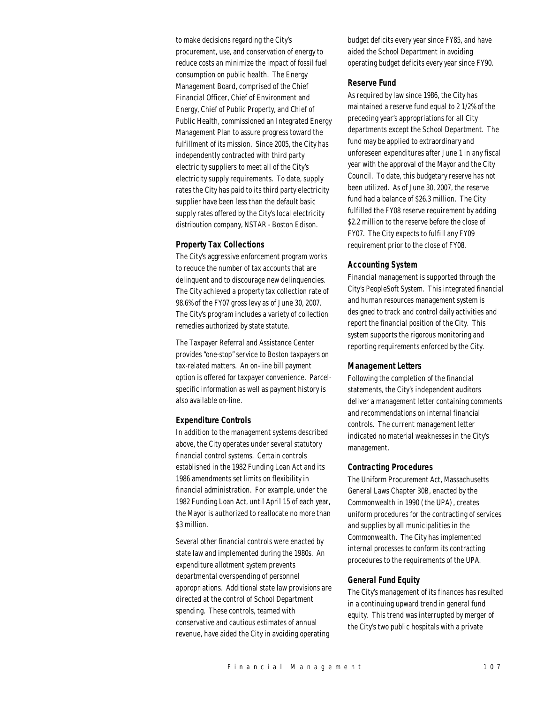to make decisions regarding the City's procurement, use, and conservation of energy to reduce costs an minimize the impact of fossil fuel consumption on public health. The Energy Management Board, comprised of the Chief Financial Officer, Chief of Environment and Energy, Chief of Public Property, and Chief of Public Health, commissioned an Integrated Energy Management Plan to assure progress toward the fulfillment of its mission. Since 2005, the City has independently contracted with third party electricity suppliers to meet all of the City's electricity supply requirements. To date, supply rates the City has paid to its third party electricity supplier have been less than the default basic supply rates offered by the City's local electricity distribution company, NSTAR - Boston Edison.

### *Property Tax Collections*

The City's aggressive enforcement program works to reduce the number of tax accounts that are delinquent and to discourage new delinquencies. The City achieved a property tax collection rate of 98.6% of the FY07 gross levy as of June 30, 2007. The City's program includes a variety of collection remedies authorized by state statute.

The Taxpayer Referral and Assistance Center provides "one-stop" service to Boston taxpayers on tax-related matters. An on-line bill payment option is offered for taxpayer convenience. Parcelspecific information as well as payment history is also available on-line.

#### *Expenditure Controls*

In addition to the management systems described above, the City operates under several statutory financial control systems. Certain controls established in the 1982 Funding Loan Act and its 1986 amendments set limits on flexibility in financial administration. For example, under the 1982 Funding Loan Act, until April 15 of each year, the Mayor is authorized to reallocate no more than \$3 million.

Several other financial controls were enacted by state law and implemented during the 1980s. An expenditure allotment system prevents departmental overspending of personnel appropriations. Additional state law provisions are directed at the control of School Department spending. These controls, teamed with conservative and cautious estimates of annual revenue, have aided the City in avoiding operating

budget deficits every year since FY85, and have aided the School Department in avoiding operating budget deficits every year since FY90.

#### *Reserve Fund*

As required by law since 1986, the City has maintained a reserve fund equal to 2 1/2% of the preceding year's appropriations for all City departments except the School Department. The fund may be applied to extraordinary and unforeseen expenditures after June 1 in any fiscal year with the approval of the Mayor and the City Council. To date, this budgetary reserve has not been utilized. As of June 30, 2007, the reserve fund had a balance of \$26.3 million. The City fulfilled the FY08 reserve requirement by adding \$2.2 million to the reserve before the close of FY07. The City expects to fulfill any FY09 requirement prior to the close of FY08.

#### *Accounting System*

Financial management is supported through the City's PeopleSoft System. This integrated financial and human resources management system is designed to track and control daily activities and report the financial position of the City. This system supports the rigorous monitoring and reporting requirements enforced by the City.

### *Management Letters*

Following the completion of the financial statements, the City's independent auditors deliver a management letter containing comments and recommendations on internal financial controls. The current management letter indicated no material weaknesses in the City's management.

#### *Contracting Procedures*

The Uniform Procurement Act, Massachusetts General Laws Chapter 30B, enacted by the Commonwealth in 1990 (the UPA), creates uniform procedures for the contracting of services and supplies by all municipalities in the Commonwealth. The City has implemented internal processes to conform its contracting procedures to the requirements of the UPA.

#### *General Fund Equity*

The City's management of its finances has resulted in a continuing upward trend in general fund equity. This trend was interrupted by merger of the City's two public hospitals with a private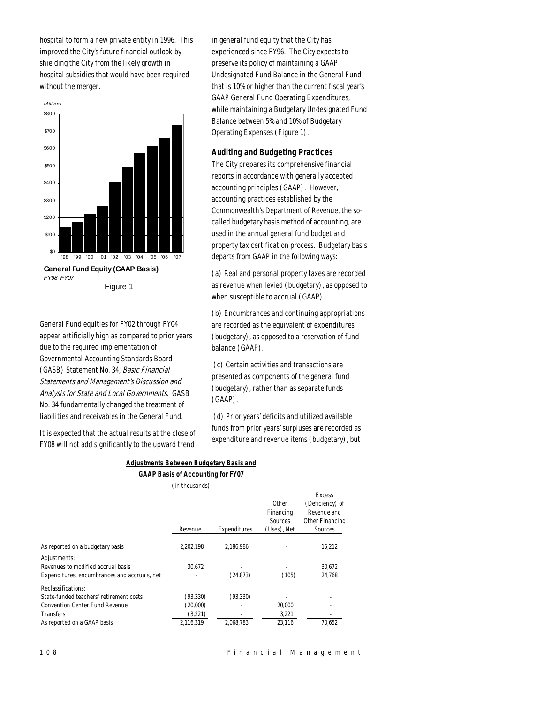hospital to form a new private entity in 1996. This improved the City's future financial outlook by shielding the City from the likely growth in hospital subsidies that would have been required without the merger.



General Fund equities for FY02 through FY04 appear artificially high as compared to prior years due to the required implementation of Governmental Accounting Standards Board (GASB) Statement No. 34, Basic Financial Statements and Management's Discussion and Analysis for State and Local Governments. GASB No. 34 fundamentally changed the treatment of liabilities and receivables in the General Fund.

It is expected that the actual results at the close of FY08 will not add significantly to the upward trend

in general fund equity that the City has experienced since FY96. The City expects to preserve its policy of maintaining a GAAP Undesignated Fund Balance in the General Fund that is 10% or higher than the current fiscal year's GAAP General Fund Operating Expenditures, while maintaining a Budgetary Undesignated Fund Balance between 5% and 10% of Budgetary Operating Expenses (Figure 1).

## *Auditing and Budgeting Practices*

The City prepares its comprehensive financial reports in accordance with generally accepted accounting principles (GAAP). However, accounting practices established by the Commonwealth's Department of Revenue, the socalled budgetary basis method of accounting, are used in the annual general fund budget and property tax certification process. Budgetary basis departs from GAAP in the following ways:

(a) Real and personal property taxes are recorded as revenue when levied (budgetary), as opposed to when susceptible to accrual (GAAP).

(b) Encumbrances and continuing appropriations are recorded as the equivalent of expenditures (budgetary), as opposed to a reservation of fund balance (GAAP).

 (c) Certain activities and transactions are presented as components of the general fund (budgetary), rather than as separate funds (GAAP).

 (d) Prior years' deficits and utilized available funds from prior years' surpluses are recorded as expenditure and revenue items (budgetary), but

## *Adjustments Between Budgetary Basis and GAAP Basis of Accounting for FY07*

(in thousands)

|                                              | Revenue   | Expenditures | Other<br>Financing<br>Sources<br>(Uses), Net | <b>Excess</b><br>(Deficiency) of<br>Revenue and<br>Other Financing<br>Sources |
|----------------------------------------------|-----------|--------------|----------------------------------------------|-------------------------------------------------------------------------------|
| As reported on a budgetary basis             | 2.202.198 | 2.186.986    |                                              | 15.212                                                                        |
| Adjustments:                                 |           |              |                                              |                                                                               |
| Revenues to modified accrual basis           | 30.672    |              | ٠                                            | 30.672                                                                        |
| Expenditures, encumbrances and accruals, net |           | (24.873)     | (105)                                        | 24.768                                                                        |
| Reclassifications:                           |           |              |                                              |                                                                               |
| State-funded teachers' retirement costs      | (93, 330) | (93, 330)    |                                              |                                                                               |
| <b>Convention Center Fund Revenue</b>        | (20,000)  |              | 20,000                                       |                                                                               |
| <b>Transfers</b>                             | (3,221)   |              | 3,221                                        |                                                                               |
| As reported on a GAAP basis                  | 2,116,319 | 2,068,783    | 23,116                                       | 70,652                                                                        |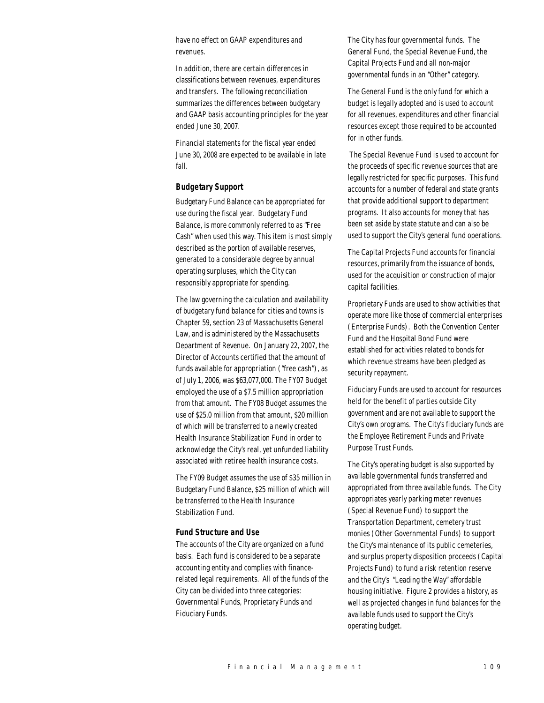have no effect on GAAP expenditures and revenues.

In addition, there are certain differences in classifications between revenues, expenditures and transfers. The following reconciliation summarizes the differences between budgetary and GAAP basis accounting principles for the year ended June 30, 2007.

Financial statements for the fiscal year ended June 30, 2008 are expected to be available in late fall.

### *Budgetary Support*

Budgetary Fund Balance can be appropriated for use during the fiscal year. Budgetary Fund Balance, is more commonly referred to as "Free Cash" when used this way. This item is most simply described as the portion of available reserves, generated to a considerable degree by annual operating surpluses, which the City can responsibly appropriate for spending.

The law governing the calculation and availability of budgetary fund balance for cities and towns is Chapter 59, section 23 of Massachusetts General Law, and is administered by the Massachusetts Department of Revenue. On January 22, 2007, the Director of Accounts certified that the amount of funds available for appropriation ("free cash"), as of July 1, 2006, was \$63,077,000. The FY07 Budget employed the use of a \$7.5 million appropriation from that amount. The FY08 Budget assumes the use of \$25.0 million from that amount, \$20 million of which will be transferred to a newly created Health Insurance Stabilization Fund in order to acknowledge the City's real, yet unfunded liability associated with retiree health insurance costs.

The FY09 Budget assumes the use of \$35 million in Budgetary Fund Balance, \$25 million of which will be transferred to the Health Insurance Stabilization Fund.

#### *Fund Structure and Use*

The accounts of the City are organized on a fund basis. Each fund is considered to be a separate accounting entity and complies with financerelated legal requirements. All of the funds of the City can be divided into three categories: Governmental Funds, Proprietary Funds and Fiduciary Funds.

The City has four governmental funds. The General Fund, the Special Revenue Fund, the Capital Projects Fund and all non-major governmental funds in an "Other" category.

The General Fund is the only fund for which a budget is legally adopted and is used to account for all revenues, expenditures and other financial resources except those required to be accounted for in other funds.

 The Special Revenue Fund is used to account for the proceeds of specific revenue sources that are legally restricted for specific purposes. This fund accounts for a number of federal and state grants that provide additional support to department programs. It also accounts for money that has been set aside by state statute and can also be used to support the City's general fund operations.

The Capital Projects Fund accounts for financial resources, primarily from the issuance of bonds, used for the acquisition or construction of major capital facilities.

Proprietary Funds are used to show activities that operate more like those of commercial enterprises (Enterprise Funds). Both the Convention Center Fund and the Hospital Bond Fund were established for activities related to bonds for which revenue streams have been pledged as security repayment.

Fiduciary Funds are used to account for resources held for the benefit of parties outside City government and are not available to support the City's own programs. The City's fiduciary funds are the Employee Retirement Funds and Private Purpose Trust Funds.

The City's operating budget is also supported by available governmental funds transferred and appropriated from three available funds. The City appropriates yearly parking meter revenues (Special Revenue Fund) to support the Transportation Department, cemetery trust monies (Other Governmental Funds) to support the City's maintenance of its public cemeteries, and surplus property disposition proceeds (Capital Projects Fund) to fund a risk retention reserve and the City's "Leading the Way" affordable housing initiative. Figure 2 provides a history, as well as projected changes in fund balances for the available funds used to support the City's operating budget.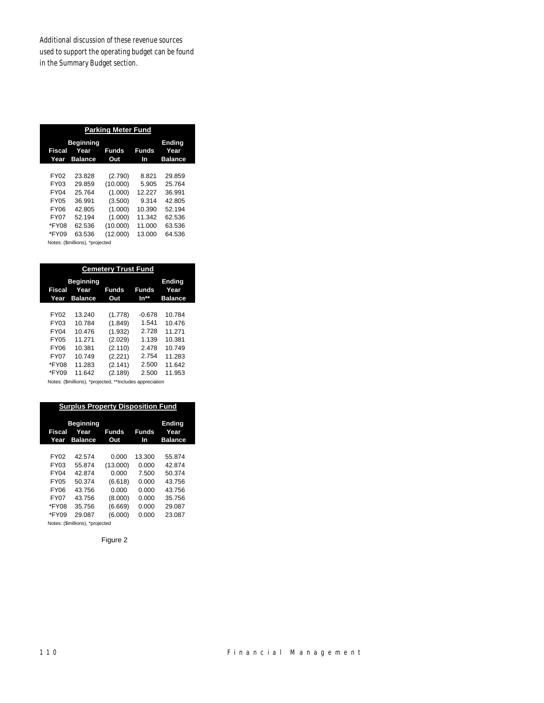Additional discussion of these revenue sources used to support the operating budget can be found in the Summary Budget section.

| <b>Beginning</b><br><b>Ending</b> |                |          |        |                |
|-----------------------------------|----------------|----------|--------|----------------|
| Fiscal                            | Year           | Funds    | Funds  | Year           |
| Year                              | <b>Balance</b> | Out      | In     | <b>Balance</b> |
|                                   |                |          |        |                |
| FY02                              | 23.828         | (2.790)  | 8.821  | 29.859         |
| FY03                              | 29.859         | (10.000) | 5.905  | 25.764         |
| FY <sub>04</sub>                  | 25 7 64        | (1.000)  | 12.227 | 36.991         |
| <b>FY05</b>                       | 36.991         | (3.500)  | 9.314  | 42.805         |
| FY06                              | 42.805         | (1.000)  | 10.390 | 52.194         |
| <b>FY07</b>                       | 52.194         | (1.000)  | 11.342 | 62.536         |
| *FY08                             | 62.536         | (10.000) | 11.000 | 63.536         |
| *FY09                             | 63.536         | (12.000) | 13.000 | 64.536         |

| <b>Cemetery Trust Fund</b>                                                                      |                                                                              |                                                                                      |                                                                       |                                                                             |
|-------------------------------------------------------------------------------------------------|------------------------------------------------------------------------------|--------------------------------------------------------------------------------------|-----------------------------------------------------------------------|-----------------------------------------------------------------------------|
| Fiscal<br>Year                                                                                  | <b>Beginning</b><br>Year<br><b>Balance</b>                                   | Funds<br>Out                                                                         | Funds<br>In**                                                         | <b>Ending</b><br>Year<br><b>Balance</b>                                     |
| FY02<br>FY03<br>FY <sub>04</sub><br><b>FY05</b><br><b>FY06</b><br><b>FY07</b><br>*FY08<br>*FY09 | 13.240<br>10.784<br>10.476<br>11.271<br>10.381<br>10.749<br>11.283<br>11.642 | (1.778)<br>(1.849)<br>(1.932)<br>(2.029)<br>(2.110)<br>(2.221)<br>(2.141)<br>(2.189) | $-0.678$<br>1.541<br>2.728<br>1.139<br>2478<br>2754<br>2.500<br>2.500 | 10.784<br>10476<br>11.271<br>10.381<br>10.749<br>11.283<br>11.642<br>11.953 |

Notes: (\$millions), \*projected, \*\*Includes appreciation

| <b>Surplus Property Disposition Fund</b> |                                            |              |                    |                                         |
|------------------------------------------|--------------------------------------------|--------------|--------------------|-----------------------------------------|
| Fiscal<br>Year                           | <b>Beginning</b><br>Year<br><b>Balance</b> | Funds<br>Out | <b>Funds</b><br>In | <b>Ending</b><br>Year<br><b>Balance</b> |
|                                          |                                            |              |                    |                                         |
| FY02                                     | 42.574                                     | 0.000        | 13.300             | 55.874                                  |
| FY03                                     | 55.874                                     | (13.000)     | 0.000              | 42.874                                  |
| <b>FY04</b>                              | 42.874                                     | 0.000        | 7.500              | 50.374                                  |
| <b>FY05</b>                              | 50.374                                     | (6.618)      | 0.000              | 43.756                                  |
| FY06                                     | 43.756                                     | 0.000        | 0.000              | 43.756                                  |
| <b>FY07</b>                              | 43.756                                     | (8.000)      | 0.000              | 35.756                                  |
| *FY08                                    | 35.756                                     | (6.669)      | 0.000              | 29.087                                  |
| *FY09                                    | 29.087                                     | (6.000)      | 0.000              | 23.087                                  |

Notes: (\$millions), \*projected

Figure 2